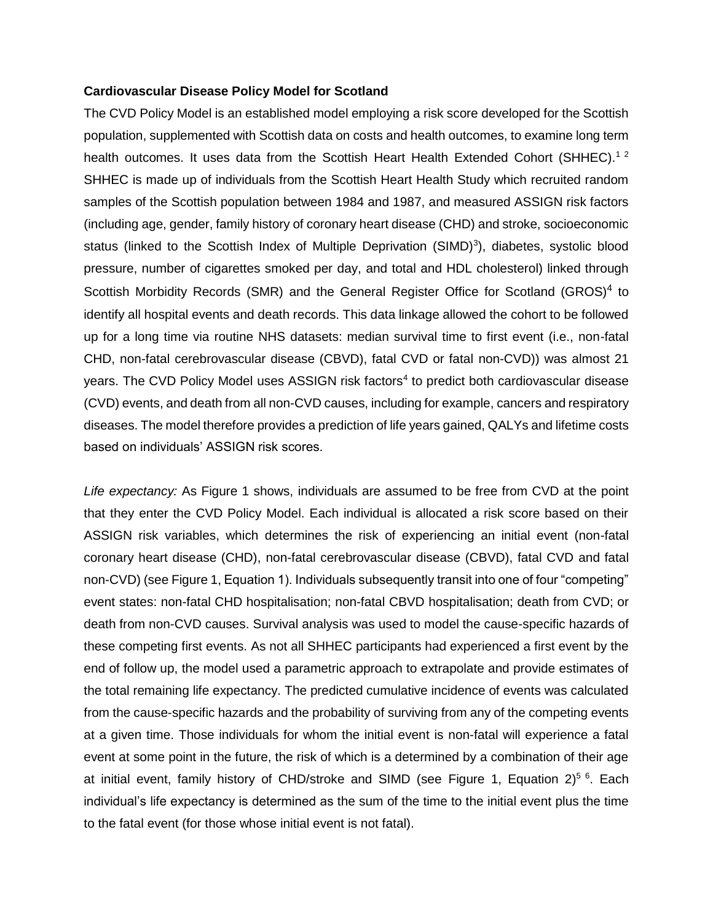## **Cardiovascular Disease Policy Model for Scotland**

The CVD Policy Model is an established model employing a risk score developed for the Scottish population, supplemented with Scottish data on costs and health outcomes, to examine long term health outcomes. It uses data from the Scottish Heart Health Extended Cohort (SHHEC).<sup>12</sup> SHHEC is made up of individuals from the Scottish Heart Health Study which recruited random samples of the Scottish population between 1984 and 1987, and measured ASSIGN risk factors (including age, gender, family history of coronary heart disease (CHD) and stroke, socioeconomic status (linked to the Scottish Index of Multiple Deprivation (SIMD)<sup>3</sup>), diabetes, systolic blood pressure, number of cigarettes smoked per day, and total and HDL cholesterol) linked through Scottish Morbidity Records (SMR) and the General Register Office for Scotland (GROS)<sup>4</sup> to identify all hospital events and death records. This data linkage allowed the cohort to be followed up for a long time via routine NHS datasets: median survival time to first event (i.e., non-fatal CHD, non-fatal cerebrovascular disease (CBVD), fatal CVD or fatal non-CVD)) was almost 21 years. The CVD Policy Model uses ASSIGN risk factors<sup>4</sup> to predict both cardiovascular disease (CVD) events, and death from all non-CVD causes, including for example, cancers and respiratory diseases. The model therefore provides a prediction of life years gained, QALYs and lifetime costs based on individuals' ASSIGN risk scores.

*Life expectancy:* As [Figure 1](#page-1-0) shows, individuals are assumed to be free from CVD at the point that they enter the CVD Policy Model. Each individual is allocated a risk score based on their ASSIGN risk variables, which determines the risk of experiencing an initial event (non-fatal coronary heart disease (CHD), non-fatal cerebrovascular disease (CBVD), fatal CVD and fatal non-CVD) (see Figure 1, Equation 1). Individuals subsequently transit into one of four "competing" event states: non-fatal CHD hospitalisation; non-fatal CBVD hospitalisation; death from CVD; or death from non-CVD causes. Survival analysis was used to model the cause-specific hazards of these competing first events. As not all SHHEC participants had experienced a first event by the end of follow up, the model used a parametric approach to extrapolate and provide estimates of the total remaining life expectancy. The predicted cumulative incidence of events was calculated from the cause-specific hazards and the probability of surviving from any of the competing events at a given time. Those individuals for whom the initial event is non-fatal will experience a fatal event at some point in the future, the risk of which is a determined by a combination of their age at initial event, family history of CHD/stroke and SIMD (see [Figure 1](#page-1-0), Equation 2)<sup>56</sup>. Each individual's life expectancy is determined as the sum of the time to the initial event plus the time to the fatal event (for those whose initial event is not fatal).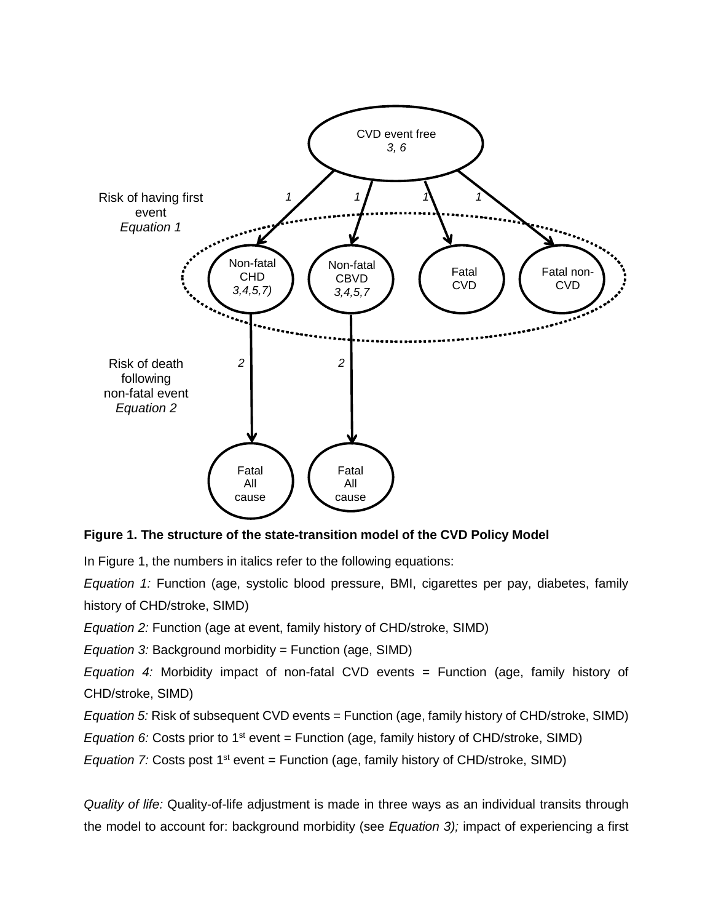

## <span id="page-1-0"></span>**Figure 1. The structure of the state-transition model of the CVD Policy Model**

In Figure 1, the numbers in italics refer to the following equations:

*Equation 1:* Function (age, systolic blood pressure, BMI, cigarettes per pay, diabetes, family history of CHD/stroke, SIMD)

*Equation 2:* Function (age at event, family history of CHD/stroke, SIMD)

*Equation 3:* Background morbidity = Function (age, SIMD)

*Equation 4:* Morbidity impact of non-fatal CVD events = Function (age, family history of CHD/stroke, SIMD)

*Equation 5:* Risk of subsequent CVD events = Function (age, family history of CHD/stroke, SIMD)

*Equation 6:* Costs prior to 1<sup>st</sup> event = Function (age, family history of CHD/stroke, SIMD)

*Equation 7:* Costs post 1<sup>st</sup> event = Function (age, family history of CHD/stroke, SIMD)

*Quality of life:* Quality-of-life adjustment is made in three ways as an individual transits through the model to account for: background morbidity (see *[Equation](http://www.journalslibrary.nihr.ac.uk/phr/volume-3/body-section-4.html#eq3) 3);* impact of experiencing a first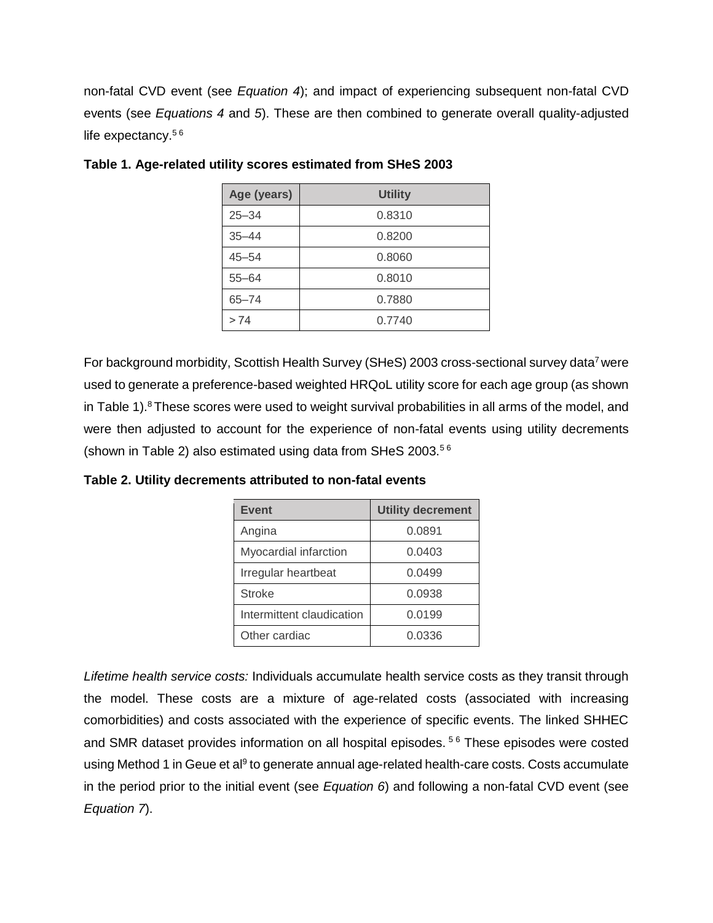non-fatal CVD event (see *[Equation](http://www.journalslibrary.nihr.ac.uk/phr/volume-3/body-section-4.html#eq4) 4*); and impact of experiencing subsequent non-fatal CVD events (see *[Equations](http://www.journalslibrary.nihr.ac.uk/phr/volume-3/body-section-4.html#eq4) 4* and *[5](http://www.journalslibrary.nihr.ac.uk/phr/volume-3/body-section-4.html#eq5)*). These are then combined to generate overall quality-adjusted life expectancy.<sup>56</sup>

| Age (years) | <b>Utility</b> |
|-------------|----------------|
| $25 - 34$   | 0.8310         |
| $35 - 44$   | 0.8200         |
| $45 - 54$   | 0.8060         |
| $55 - 64$   | 0.8010         |
| $65 - 74$   | 0.7880         |
| >74         | 0.7740         |

<span id="page-2-0"></span>**Table 1. Age-related utility scores estimated from SHeS 2003**

For background morbidity, Scottish Health Survey (SHeS) 2003 cross-sectional survey data<sup>7</sup> were used to generate a preference-based weighted HRQoL utility score for each age group (as shown in [Table 1\)](#page-2-0).<sup>8</sup> These scores were used to weight survival probabilities in all arms of the model, and were then adjusted to account for the experience of non-fatal events using utility decrements (shown in [Table](#page-2-1) 2) also estimated using data from SHeS 2003.5 6

<span id="page-2-1"></span>**Table 2. Utility decrements attributed to non-fatal events**

| <b>Event</b>              | <b>Utility decrement</b> |
|---------------------------|--------------------------|
| Angina                    | 0.0891                   |
| Myocardial infarction     | 0.0403                   |
| Irregular heartbeat       | 0.0499                   |
| <b>Stroke</b>             | 0.0938                   |
| Intermittent claudication | 0.0199                   |
| Other cardiac             | 0.0336                   |

*Lifetime health service costs:* Individuals accumulate health service costs as they transit through the model. These costs are a mixture of age-related costs (associated with increasing comorbidities) and costs associated with the experience of specific events. The linked SHHEC and SMR dataset provides information on all hospital episodes.<sup>56</sup> These episodes were costed using Method 1 in Geue et al<sup>9</sup> to generate annual age-related health-care costs. Costs accumulate in the period prior to the initial event (see *[Equation](http://www.journalslibrary.nihr.ac.uk/phr/volume-3/body-section-4.html#fig6) 6*) and following a non-fatal CVD event (see *[Equation](http://www.journalslibrary.nihr.ac.uk/phr/volume-3/body-section-4.html#eq7) 7*).